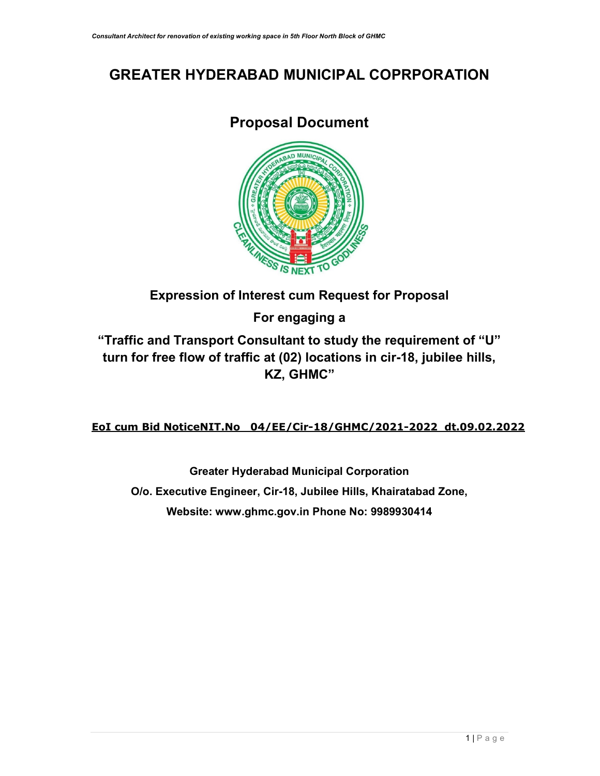# GREATER HYDERABAD MUNICIPAL COPRPORATION

# Proposal Document



## Expression of Interest cum Request for Proposal

For engaging a

"Traffic and Transport Consultant to study the requirement of "U" turn for free flow of traffic at (02) locations in cir-18, jubilee hills, KZ, GHMC"

## EoI cum Bid NoticeNIT.No 04/EE/Cir-18/GHMC/2021-2022 dt.09.02.2022

Greater Hyderabad Municipal Corporation O/o. Executive Engineer, Cir-18, Jubilee Hills, Khairatabad Zone, Website: www.ghmc.gov.in Phone No: 9989930414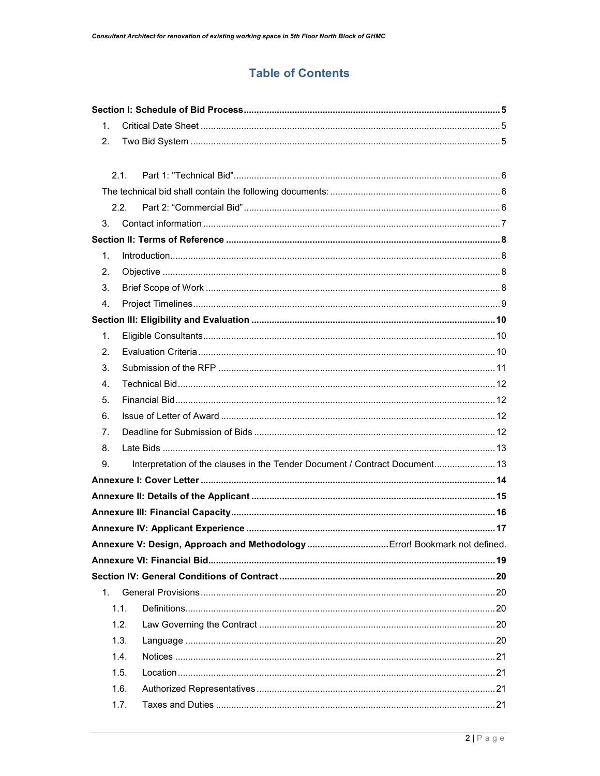## **Table of Contents**

| $1_{-}$ |                                                                             |  |
|---------|-----------------------------------------------------------------------------|--|
| 2.      |                                                                             |  |
|         |                                                                             |  |
|         | 2.1.                                                                        |  |
|         |                                                                             |  |
|         | 2.2.                                                                        |  |
| 3.      |                                                                             |  |
|         |                                                                             |  |
| $1_{-}$ |                                                                             |  |
| 2.      |                                                                             |  |
| 3.      |                                                                             |  |
| 4.      |                                                                             |  |
|         |                                                                             |  |
| 1.      |                                                                             |  |
| 2.      |                                                                             |  |
| 3.      |                                                                             |  |
| 4.      |                                                                             |  |
| 5.      |                                                                             |  |
| 6.      |                                                                             |  |
| 7.      |                                                                             |  |
| 8.      |                                                                             |  |
| 9.      | Interpretation of the clauses in the Tender Document / Contract Document 13 |  |
|         |                                                                             |  |
|         |                                                                             |  |
|         |                                                                             |  |
|         |                                                                             |  |
|         |                                                                             |  |
|         |                                                                             |  |
|         |                                                                             |  |
| $1_{-}$ |                                                                             |  |
|         | 1.1.                                                                        |  |
|         | 1.2.                                                                        |  |
|         | 1.3.                                                                        |  |
|         | 1.4.                                                                        |  |
|         | 1.5.                                                                        |  |
|         | 1.6.                                                                        |  |
|         | 1.7.                                                                        |  |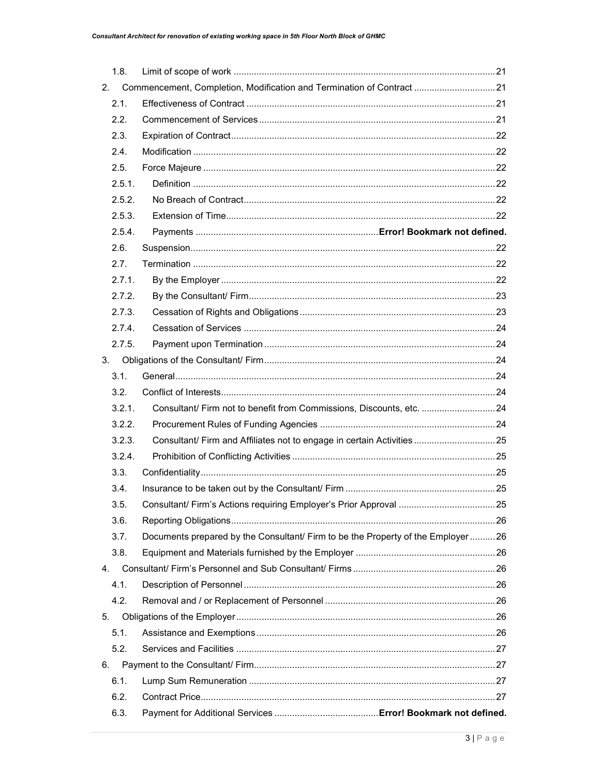| 6.3. |        |                                                                                  |  |
|------|--------|----------------------------------------------------------------------------------|--|
| 6.2. |        |                                                                                  |  |
| 6.1. |        |                                                                                  |  |
| 6.   |        |                                                                                  |  |
| 5.2. |        |                                                                                  |  |
| 5.1. |        |                                                                                  |  |
| 5.   |        |                                                                                  |  |
| 4.2. |        |                                                                                  |  |
| 4.1. |        |                                                                                  |  |
| 4.   |        |                                                                                  |  |
| 3.8. |        |                                                                                  |  |
| 3.7. |        | Documents prepared by the Consultant/ Firm to be the Property of the Employer 26 |  |
| 3.6. |        |                                                                                  |  |
| 3.5. |        |                                                                                  |  |
| 3.4. |        |                                                                                  |  |
| 3.3. |        |                                                                                  |  |
|      | 3.2.4. |                                                                                  |  |
|      | 3.2.3. | Consultant/ Firm and Affiliates not to engage in certain Activities 25           |  |
|      | 3.2.2. |                                                                                  |  |
|      | 3.2.1. | Consultant/ Firm not to benefit from Commissions, Discounts, etc. 24             |  |
| 3.2. |        |                                                                                  |  |
| 3.1. |        |                                                                                  |  |
| 3.   |        |                                                                                  |  |
|      | 2.7.5. |                                                                                  |  |
|      | 2.7.4. |                                                                                  |  |
|      | 2.7.3. |                                                                                  |  |
|      | 2.7.2. |                                                                                  |  |
|      | 2.7.1  |                                                                                  |  |
| 2.7. |        |                                                                                  |  |
| 2.6. |        |                                                                                  |  |
|      | 2.5.4. |                                                                                  |  |
|      | 2.5.3. |                                                                                  |  |
|      | 2.5.2. |                                                                                  |  |
|      | 2.5.1. |                                                                                  |  |
| 2.5. |        |                                                                                  |  |
| 2.4. |        |                                                                                  |  |
| 2.3. |        |                                                                                  |  |
| 2.2. |        |                                                                                  |  |
| 2.1. |        |                                                                                  |  |
| 2.   |        | Commencement, Completion, Modification and Termination of Contract 21            |  |
| 1.8. |        |                                                                                  |  |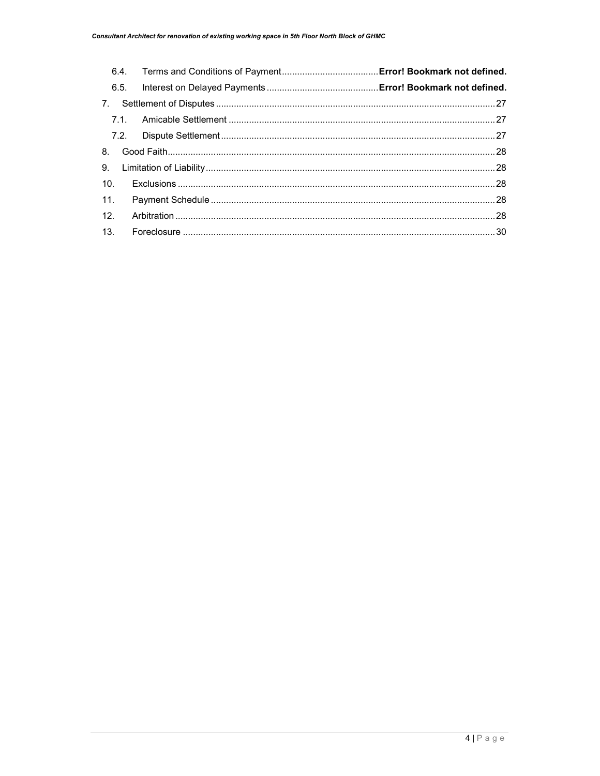|                 | 6.5. |  |
|-----------------|------|--|
| 7.              |      |  |
|                 |      |  |
|                 |      |  |
| 8.              |      |  |
| 9 <sub>1</sub>  |      |  |
| 10.             |      |  |
| 11.             |      |  |
| 12 <sub>1</sub> |      |  |
| 13.             |      |  |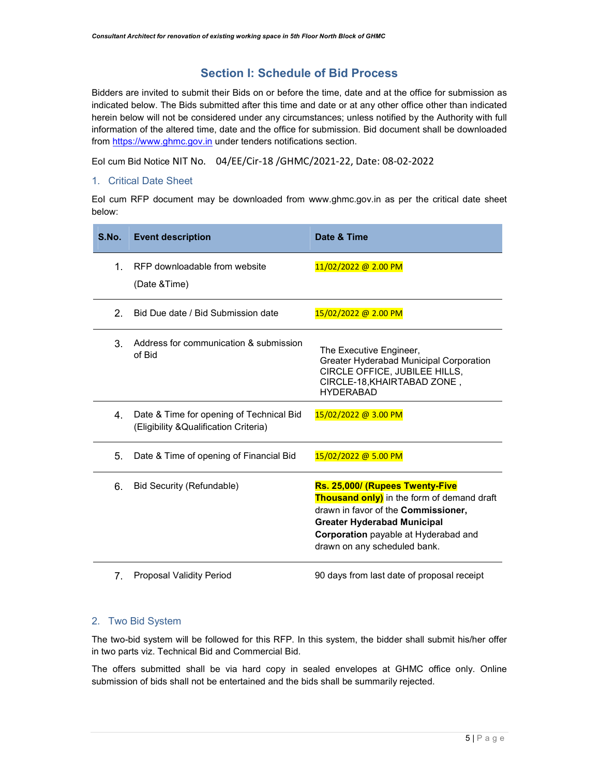### Section I: Schedule of Bid Process

Bidders are invited to submit their Bids on or before the time, date and at the office for submission as indicated below. The Bids submitted after this time and date or at any other office other than indicated herein below will not be considered under any circumstances; unless notified by the Authority with full information of the altered time, date and the office for submission. Bid document shall be downloaded from https://www.ghmc.gov.in under tenders notifications section.

EoI cum Bid Notice NIT No. 04/EE/Cir-18 /GHMC/2021-22, Date: 08-02-2022

#### 1. Critical Date Sheet

EoI cum RFP document may be downloaded from www.ghmc.gov.in as per the critical date sheet below:

| S.No. | <b>Event description</b>                                                           | Date & Time                                                                                                                                                                                                                               |
|-------|------------------------------------------------------------------------------------|-------------------------------------------------------------------------------------------------------------------------------------------------------------------------------------------------------------------------------------------|
| 1     | RFP downloadable from website<br>(Date & Time)                                     | 11/02/2022 @ 2.00 PM                                                                                                                                                                                                                      |
| 2.    | Bid Due date / Bid Submission date                                                 | 15/02/2022 @ 2.00 PM                                                                                                                                                                                                                      |
| 3.    | Address for communication & submission<br>of Bid                                   | The Executive Engineer,<br>Greater Hyderabad Municipal Corporation<br>CIRCLE OFFICE, JUBILEE HILLS,<br>CIRCLE-18, KHAIRTABAD ZONE,<br><b>HYDERABAD</b>                                                                                    |
| 4.    | Date & Time for opening of Technical Bid<br>(Eligibility & Qualification Criteria) | 15/02/2022 @ 3.00 PM                                                                                                                                                                                                                      |
| 5.    | Date & Time of opening of Financial Bid                                            | 15/02/2022 @ 5.00 PM                                                                                                                                                                                                                      |
| 6.    | Bid Security (Refundable)                                                          | Rs. 25,000/ (Rupees Twenty-Five<br><b>Thousand only)</b> in the form of demand draft<br>drawn in favor of the Commissioner,<br><b>Greater Hyderabad Municipal</b><br>Corporation payable at Hyderabad and<br>drawn on any scheduled bank. |
| 7.    | <b>Proposal Validity Period</b>                                                    | 90 days from last date of proposal receipt                                                                                                                                                                                                |

#### 2. Two Bid System

The two-bid system will be followed for this RFP. In this system, the bidder shall submit his/her offer in two parts viz. Technical Bid and Commercial Bid.

The offers submitted shall be via hard copy in sealed envelopes at GHMC office only. Online submission of bids shall not be entertained and the bids shall be summarily rejected.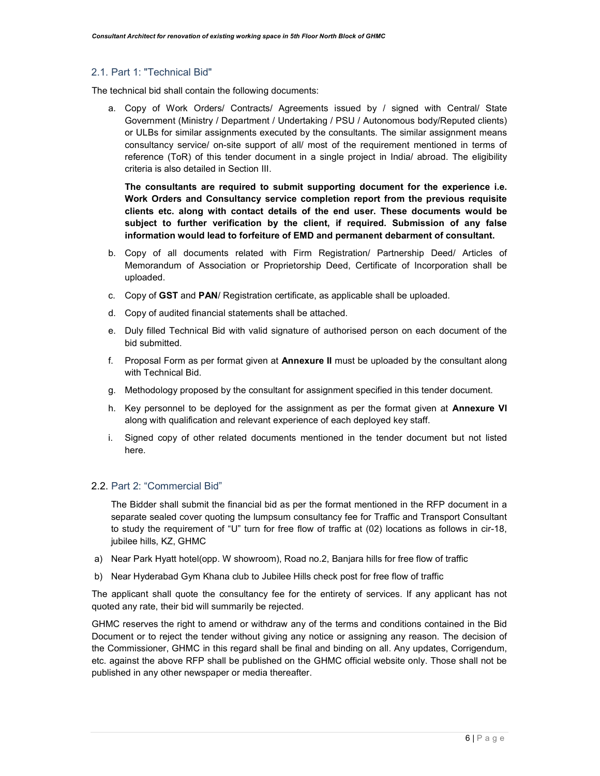#### 2.1. Part 1: "Technical Bid"

The technical bid shall contain the following documents:

a. Copy of Work Orders/ Contracts/ Agreements issued by / signed with Central/ State Government (Ministry / Department / Undertaking / PSU / Autonomous body/Reputed clients) or ULBs for similar assignments executed by the consultants. The similar assignment means consultancy service/ on-site support of all/ most of the requirement mentioned in terms of reference (ToR) of this tender document in a single project in India/ abroad. The eligibility criteria is also detailed in Section III.

The consultants are required to submit supporting document for the experience i.e. Work Orders and Consultancy service completion report from the previous requisite clients etc. along with contact details of the end user. These documents would be subject to further verification by the client, if required. Submission of any false information would lead to forfeiture of EMD and permanent debarment of consultant.

- b. Copy of all documents related with Firm Registration/ Partnership Deed/ Articles of Memorandum of Association or Proprietorship Deed, Certificate of Incorporation shall be uploaded.
- c. Copy of GST and PAN/ Registration certificate, as applicable shall be uploaded.
- d. Copy of audited financial statements shall be attached.
- e. Duly filled Technical Bid with valid signature of authorised person on each document of the bid submitted.
- f. Proposal Form as per format given at **Annexure II** must be uploaded by the consultant along with Technical Bid.
- g. Methodology proposed by the consultant for assignment specified in this tender document.
- h. Key personnel to be deployed for the assignment as per the format given at **Annexure VI** along with qualification and relevant experience of each deployed key staff.
- i. Signed copy of other related documents mentioned in the tender document but not listed here.

#### 2.2. Part 2: "Commercial Bid"

The Bidder shall submit the financial bid as per the format mentioned in the RFP document in a separate sealed cover quoting the lumpsum consultancy fee for Traffic and Transport Consultant to study the requirement of "U" turn for free flow of traffic at (02) locations as follows in cir-18, jubilee hills, KZ, GHMC

- a) Near Park Hyatt hotel(opp. W showroom), Road no.2, Banjara hills for free flow of traffic
- b) Near Hyderabad Gym Khana club to Jubilee Hills check post for free flow of traffic

The applicant shall quote the consultancy fee for the entirety of services. If any applicant has not quoted any rate, their bid will summarily be rejected.

GHMC reserves the right to amend or withdraw any of the terms and conditions contained in the Bid Document or to reject the tender without giving any notice or assigning any reason. The decision of the Commissioner, GHMC in this regard shall be final and binding on all. Any updates, Corrigendum, etc. against the above RFP shall be published on the GHMC official website only. Those shall not be published in any other newspaper or media thereafter.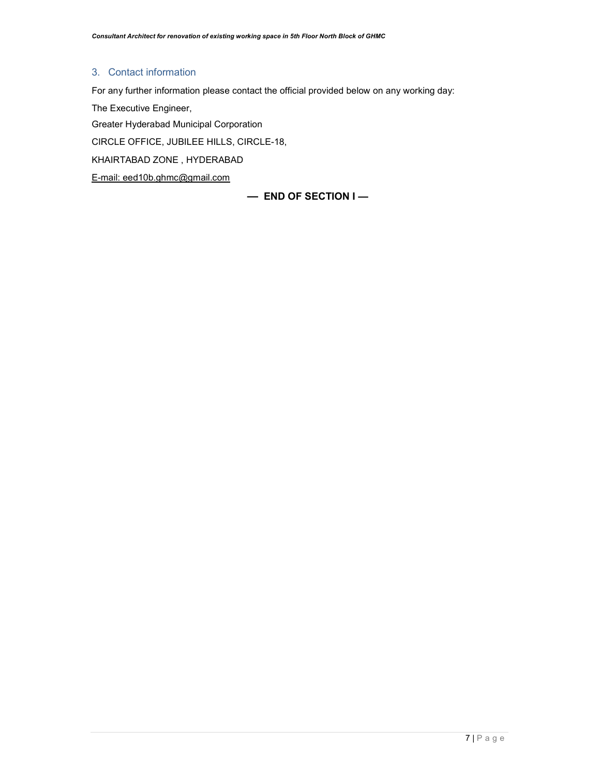#### 3. Contact information

For any further information please contact the official provided below on any working day:

The Executive Engineer,

Greater Hyderabad Municipal Corporation

CIRCLE OFFICE, JUBILEE HILLS, CIRCLE-18,

KHAIRTABAD ZONE , HYDERABAD

E-mail: eed10b.ghmc@gmail.com

— END OF SECTION I —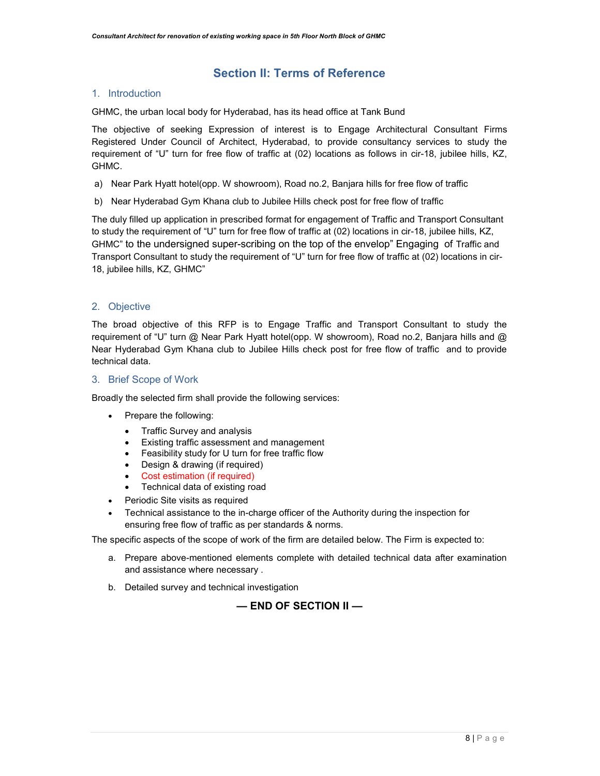### Section II: Terms of Reference

#### 1. Introduction

GHMC, the urban local body for Hyderabad, has its head office at Tank Bund

The objective of seeking Expression of interest is to Engage Architectural Consultant Firms Registered Under Council of Architect, Hyderabad, to provide consultancy services to study the requirement of "U" turn for free flow of traffic at (02) locations as follows in cir-18, jubilee hills, KZ, GHMC.

- a) Near Park Hyatt hotel(opp. W showroom), Road no.2, Banjara hills for free flow of traffic
- b) Near Hyderabad Gym Khana club to Jubilee Hills check post for free flow of traffic

The duly filled up application in prescribed format for engagement of Traffic and Transport Consultant to study the requirement of "U" turn for free flow of traffic at (02) locations in cir-18, jubilee hills, KZ, GHMC" to the undersigned super-scribing on the top of the envelop" Engaging of Traffic and Transport Consultant to study the requirement of "U" turn for free flow of traffic at (02) locations in cir-18, jubilee hills, KZ, GHMC"

#### 2. Objective

The broad objective of this RFP is to Engage Traffic and Transport Consultant to study the requirement of "U" turn @ Near Park Hyatt hotel(opp. W showroom), Road no.2, Banjara hills and @ Near Hyderabad Gym Khana club to Jubilee Hills check post for free flow of traffic and to provide technical data.

#### 3. Brief Scope of Work

Broadly the selected firm shall provide the following services:

- Prepare the following:
	- Traffic Survey and analysis
	- Existing traffic assessment and management
	- Feasibility study for U turn for free traffic flow
	- Design & drawing (if required)
	- Cost estimation (if required)
	- Technical data of existing road
- Periodic Site visits as required
- Technical assistance to the in-charge officer of the Authority during the inspection for ensuring free flow of traffic as per standards & norms.

The specific aspects of the scope of work of the firm are detailed below. The Firm is expected to:

- a. Prepare above-mentioned elements complete with detailed technical data after examination and assistance where necessary .
- b. Detailed survey and technical investigation

#### — END OF SECTION II —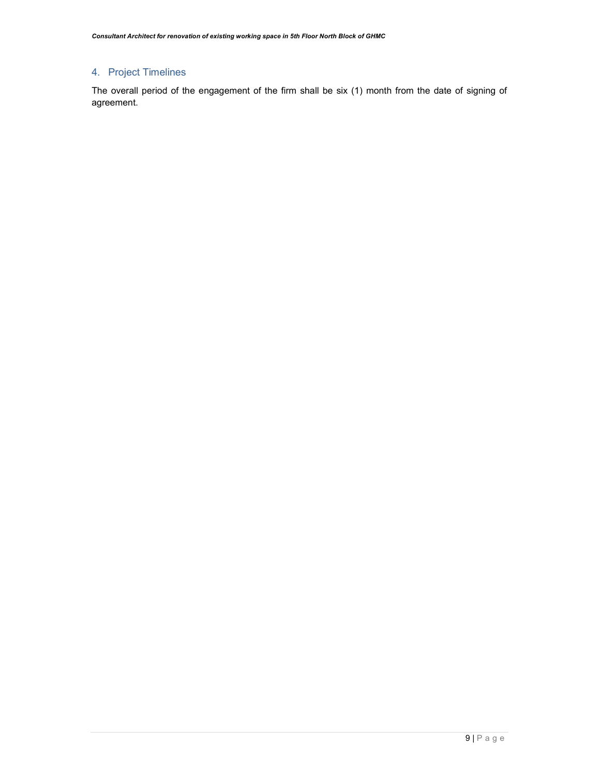## 4. Project Timelines

The overall period of the engagement of the firm shall be six (1) month from the date of signing of agreement.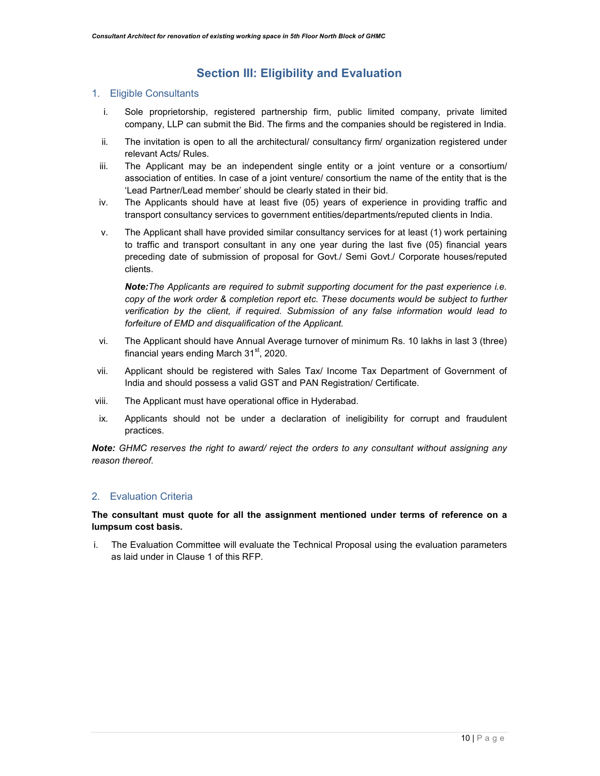## Section III: Eligibility and Evaluation

#### 1. Eligible Consultants

- i. Sole proprietorship, registered partnership firm, public limited company, private limited company, LLP can submit the Bid. The firms and the companies should be registered in India.
- ii. The invitation is open to all the architectural/ consultancy firm/ organization registered under relevant Acts/ Rules.
- iii. The Applicant may be an independent single entity or a joint venture or a consortium/ association of entities. In case of a joint venture/ consortium the name of the entity that is the 'Lead Partner/Lead member' should be clearly stated in their bid.
- iv. The Applicants should have at least five (05) years of experience in providing traffic and transport consultancy services to government entities/departments/reputed clients in India.
- v. The Applicant shall have provided similar consultancy services for at least (1) work pertaining to traffic and transport consultant in any one year during the last five (05) financial years preceding date of submission of proposal for Govt./ Semi Govt./ Corporate houses/reputed clients.

Note: The Applicants are required to submit supporting document for the past experience i.e. copy of the work order & completion report etc. These documents would be subject to further verification by the client, if required. Submission of any false information would lead to forfeiture of EMD and disqualification of the Applicant.

- vi. The Applicant should have Annual Average turnover of minimum Rs. 10 lakhs in last 3 (three) financial years ending March  $31<sup>st</sup>$ , 2020.
- vii. Applicant should be registered with Sales Tax/ Income Tax Department of Government of India and should possess a valid GST and PAN Registration/ Certificate.
- viii. The Applicant must have operational office in Hyderabad.
- ix. Applicants should not be under a declaration of ineligibility for corrupt and fraudulent practices.

Note: GHMC reserves the right to award/ reject the orders to any consultant without assigning any reason thereof.

#### 2. Evaluation Criteria

#### The consultant must quote for all the assignment mentioned under terms of reference on a lumpsum cost basis.

i. The Evaluation Committee will evaluate the Technical Proposal using the evaluation parameters as laid under in Clause 1 of this RFP.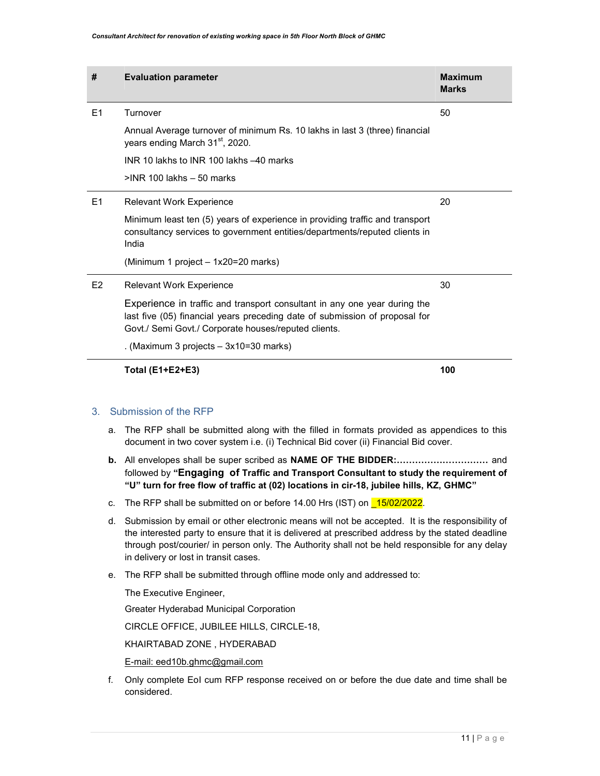| #              | <b>Evaluation parameter</b>                                                                                                                                                                                      | <b>Maximum</b><br><b>Marks</b> |
|----------------|------------------------------------------------------------------------------------------------------------------------------------------------------------------------------------------------------------------|--------------------------------|
| E1             | Turnover                                                                                                                                                                                                         | 50                             |
|                | Annual Average turnover of minimum Rs. 10 lakhs in last 3 (three) financial<br>years ending March 31 <sup>st</sup> , 2020.                                                                                       |                                |
|                | INR 10 lakhs to INR 100 lakhs -40 marks                                                                                                                                                                          |                                |
|                | $>$ INR 100 lakhs $-50$ marks                                                                                                                                                                                    |                                |
| E1             | <b>Relevant Work Experience</b>                                                                                                                                                                                  | 20                             |
|                | Minimum least ten (5) years of experience in providing traffic and transport<br>consultancy services to government entities/departments/reputed clients in<br>India                                              |                                |
|                | (Minimum 1 project – 1x20=20 marks)                                                                                                                                                                              |                                |
| E <sub>2</sub> | <b>Relevant Work Experience</b>                                                                                                                                                                                  | 30                             |
|                | Experience in traffic and transport consultant in any one year during the<br>last five (05) financial years preceding date of submission of proposal for<br>Govt./ Semi Govt./ Corporate houses/reputed clients. |                                |
|                | . (Maximum 3 projects $-3x10=30$ marks)                                                                                                                                                                          |                                |
|                | Total (E1+E2+E3)                                                                                                                                                                                                 | 100                            |

#### 3. Submission of the RFP

- a. The RFP shall be submitted along with the filled in formats provided as appendices to this document in two cover system i.e. (i) Technical Bid cover (ii) Financial Bid cover.
- b. All envelopes shall be super scribed as NAME OF THE BIDDER:………………………… and followed by "Engaging of Traffic and Transport Consultant to study the requirement of "U" turn for free flow of traffic at (02) locations in cir-18, jubilee hills, KZ, GHMC"
- c. The RFP shall be submitted on or before 14.00 Hrs (IST) on 15/02/2022.
- d. Submission by email or other electronic means will not be accepted. It is the responsibility of the interested party to ensure that it is delivered at prescribed address by the stated deadline through post/courier/ in person only. The Authority shall not be held responsible for any delay in delivery or lost in transit cases.
- e. The RFP shall be submitted through offline mode only and addressed to:

The Executive Engineer,

Greater Hyderabad Municipal Corporation

CIRCLE OFFICE, JUBILEE HILLS, CIRCLE-18,

KHAIRTABAD ZONE , HYDERABAD

E-mail: eed10b.ghmc@gmail.com

f. Only complete EoI cum RFP response received on or before the due date and time shall be considered.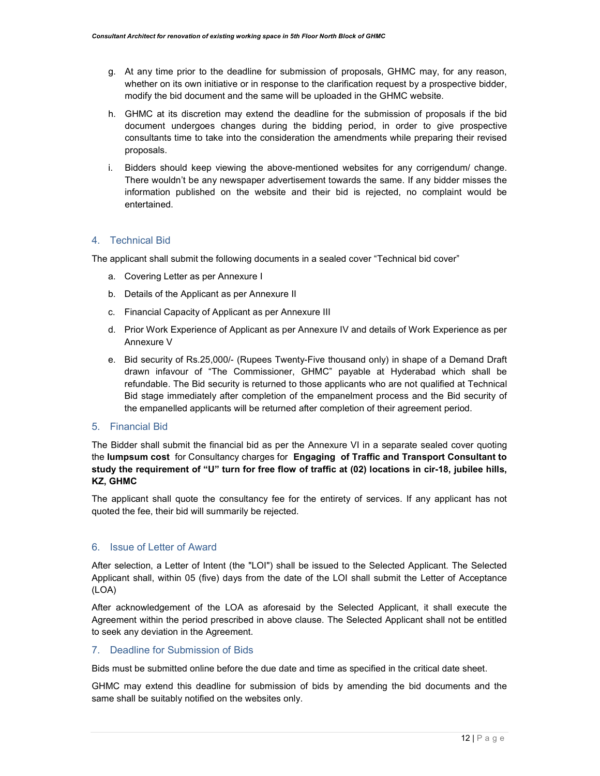- g. At any time prior to the deadline for submission of proposals, GHMC may, for any reason, whether on its own initiative or in response to the clarification request by a prospective bidder, modify the bid document and the same will be uploaded in the GHMC website.
- h. GHMC at its discretion may extend the deadline for the submission of proposals if the bid document undergoes changes during the bidding period, in order to give prospective consultants time to take into the consideration the amendments while preparing their revised proposals.
- i. Bidders should keep viewing the above-mentioned websites for any corrigendum/ change. There wouldn't be any newspaper advertisement towards the same. If any bidder misses the information published on the website and their bid is rejected, no complaint would be entertained.

#### 4. Technical Bid

The applicant shall submit the following documents in a sealed cover "Technical bid cover"

- a. Covering Letter as per Annexure I
- b. Details of the Applicant as per Annexure II
- c. Financial Capacity of Applicant as per Annexure III
- d. Prior Work Experience of Applicant as per Annexure IV and details of Work Experience as per Annexure V
- e. Bid security of Rs.25,000/- (Rupees Twenty-Five thousand only) in shape of a Demand Draft drawn infavour of "The Commissioner, GHMC" payable at Hyderabad which shall be refundable. The Bid security is returned to those applicants who are not qualified at Technical Bid stage immediately after completion of the empanelment process and the Bid security of the empanelled applicants will be returned after completion of their agreement period.

#### 5. Financial Bid

The Bidder shall submit the financial bid as per the Annexure VI in a separate sealed cover quoting the lumpsum cost for Consultancy charges for Engaging of Traffic and Transport Consultant to study the requirement of "U" turn for free flow of traffic at (02) locations in cir-18, jubilee hills, KZ, GHMC

The applicant shall quote the consultancy fee for the entirety of services. If any applicant has not quoted the fee, their bid will summarily be rejected.

#### 6. Issue of Letter of Award

After selection, a Letter of Intent (the "LOI") shall be issued to the Selected Applicant. The Selected Applicant shall, within 05 (five) days from the date of the LOI shall submit the Letter of Acceptance (LOA)

After acknowledgement of the LOA as aforesaid by the Selected Applicant, it shall execute the Agreement within the period prescribed in above clause. The Selected Applicant shall not be entitled to seek any deviation in the Agreement.

#### 7. Deadline for Submission of Bids

Bids must be submitted online before the due date and time as specified in the critical date sheet.

GHMC may extend this deadline for submission of bids by amending the bid documents and the same shall be suitably notified on the websites only.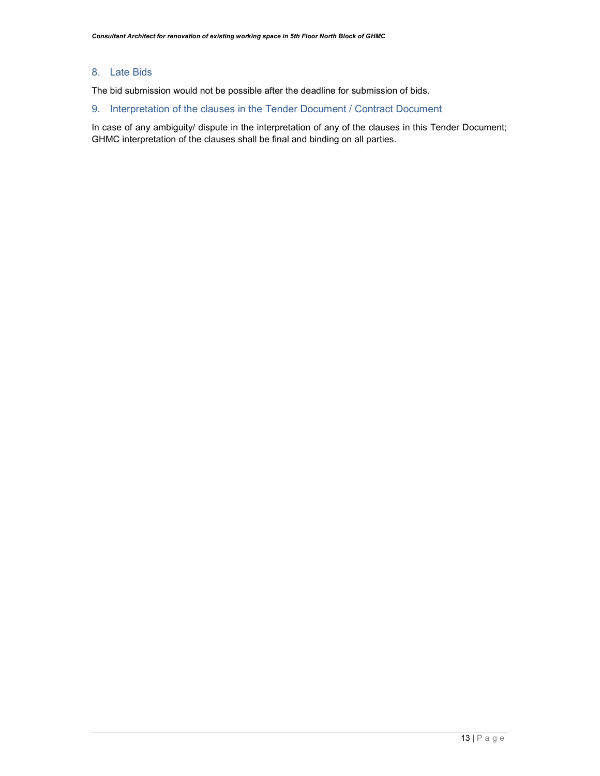#### 8. Late Bids

The bid submission would not be possible after the deadline for submission of bids.

#### 9. Interpretation of the clauses in the Tender Document / Contract Document

In case of any ambiguity/ dispute in the interpretation of any of the clauses in this Tender Document; GHMC interpretation of the clauses shall be final and binding on all parties.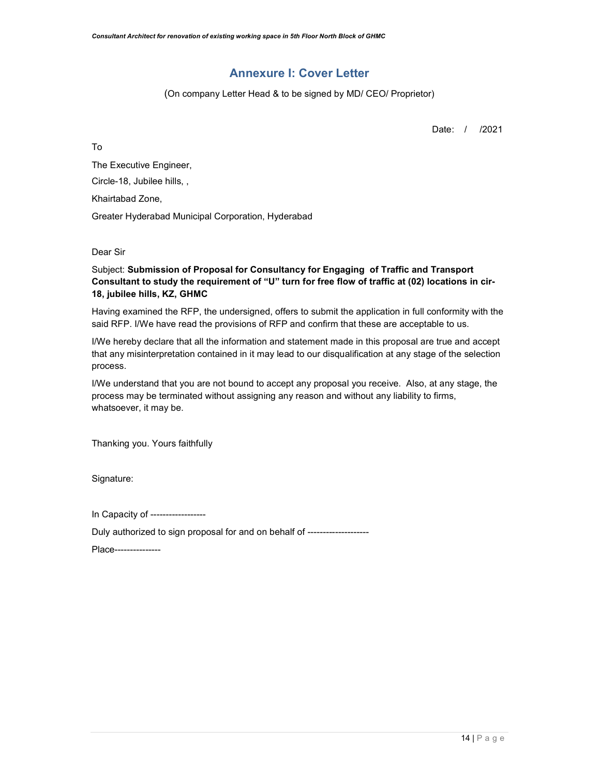## Annexure I: Cover Letter

(On company Letter Head & to be signed by MD/ CEO/ Proprietor)

Date: / /2021

To

The Executive Engineer, Circle-18, Jubilee hills, , Khairtabad Zone, Greater Hyderabad Municipal Corporation, Hyderabad

Dear Sir

Subject: Submission of Proposal for Consultancy for Engaging of Traffic and Transport Consultant to study the requirement of "U" turn for free flow of traffic at (02) locations in cir-18, jubilee hills, KZ, GHMC

Having examined the RFP, the undersigned, offers to submit the application in full conformity with the said RFP. I/We have read the provisions of RFP and confirm that these are acceptable to us.

I/We hereby declare that all the information and statement made in this proposal are true and accept that any misinterpretation contained in it may lead to our disqualification at any stage of the selection process.

I/We understand that you are not bound to accept any proposal you receive. Also, at any stage, the process may be terminated without assigning any reason and without any liability to firms, whatsoever, it may be.

Thanking you. Yours faithfully

Signature:

In Capacity of ------------------

Duly authorized to sign proposal for and on behalf of --------------------

Place---------------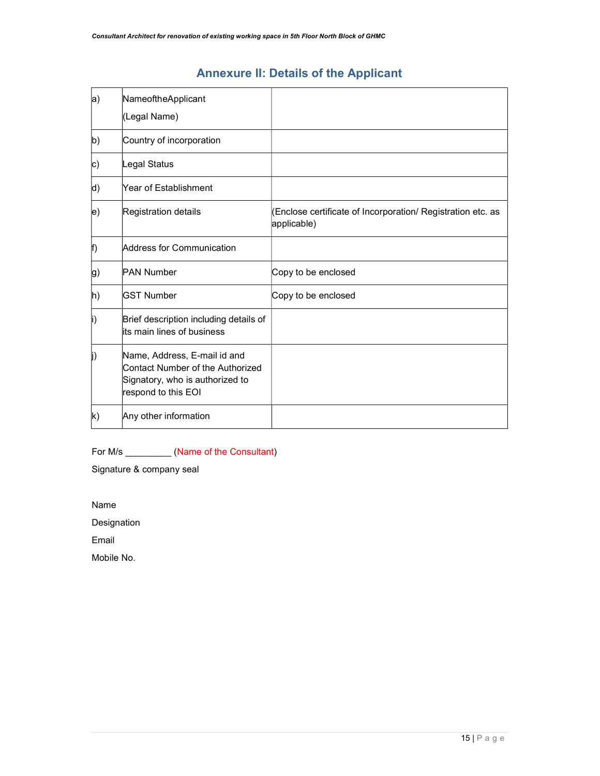## Annexure II: Details of the Applicant

| a)           | NameoftheApplicant                                                                                                         |                                                                            |
|--------------|----------------------------------------------------------------------------------------------------------------------------|----------------------------------------------------------------------------|
|              | (Legal Name)                                                                                                               |                                                                            |
| b)           | Country of incorporation                                                                                                   |                                                                            |
| c)           | Legal Status                                                                                                               |                                                                            |
| d)           | Year of Establishment                                                                                                      |                                                                            |
| e)           | Registration details                                                                                                       | (Enclose certificate of Incorporation/ Registration etc. as<br>applicable) |
| f)           | Address for Communication                                                                                                  |                                                                            |
| g)           | <b>PAN Number</b>                                                                                                          | Copy to be enclosed                                                        |
| h)           | <b>GST Number</b>                                                                                                          | Copy to be enclosed                                                        |
| i)           | Brief description including details of<br>lits main lines of business                                                      |                                                                            |
| j)           | Name, Address, E-mail id and<br>Contact Number of the Authorized<br>Signatory, who is authorized to<br>respond to this EOI |                                                                            |
| $\mathsf{k}$ | Any other information                                                                                                      |                                                                            |

For M/s \_\_\_\_\_\_\_\_\_\_\_ (Name of the Consultant)

Signature & company seal

Name

Designation

Email

Mobile No.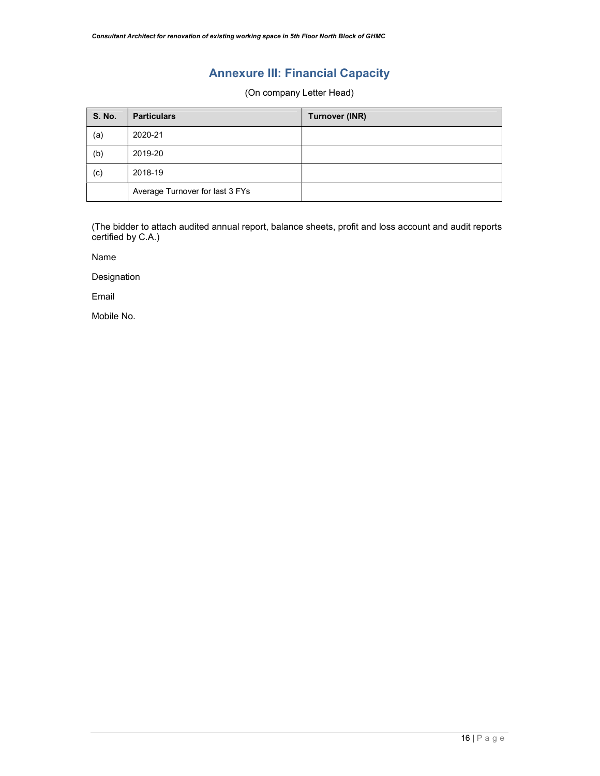## Annexure III: Financial Capacity

(On company Letter Head)

| <b>S. No.</b> | <b>Particulars</b>              | <b>Turnover (INR)</b> |
|---------------|---------------------------------|-----------------------|
| (a)           | 2020-21                         |                       |
| (b)           | 2019-20                         |                       |
| (c)           | 2018-19                         |                       |
|               | Average Turnover for last 3 FYs |                       |

(The bidder to attach audited annual report, balance sheets, profit and loss account and audit reports certified by C.A.)

Name

Designation

Email

Mobile No.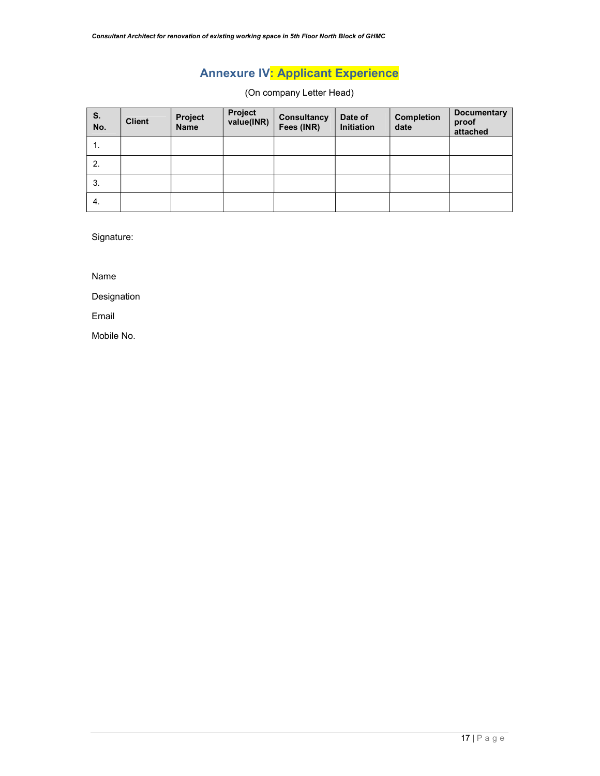# Annexure IV: Applicant Experience

(On company Letter Head)

| S.<br>No. | <b>Client</b> | Project<br><b>Name</b> | Project<br>value(INR) | Consultancy<br>Fees (INR) | Date of<br>Initiation | <b>Completion</b><br>date | <b>Documentary</b><br>proof<br>attached |
|-----------|---------------|------------------------|-----------------------|---------------------------|-----------------------|---------------------------|-----------------------------------------|
| 1.        |               |                        |                       |                           |                       |                           |                                         |
| 2.        |               |                        |                       |                           |                       |                           |                                         |
| 3.        |               |                        |                       |                           |                       |                           |                                         |
| 4.        |               |                        |                       |                           |                       |                           |                                         |

Signature:

Name

Designation

Email

Mobile No.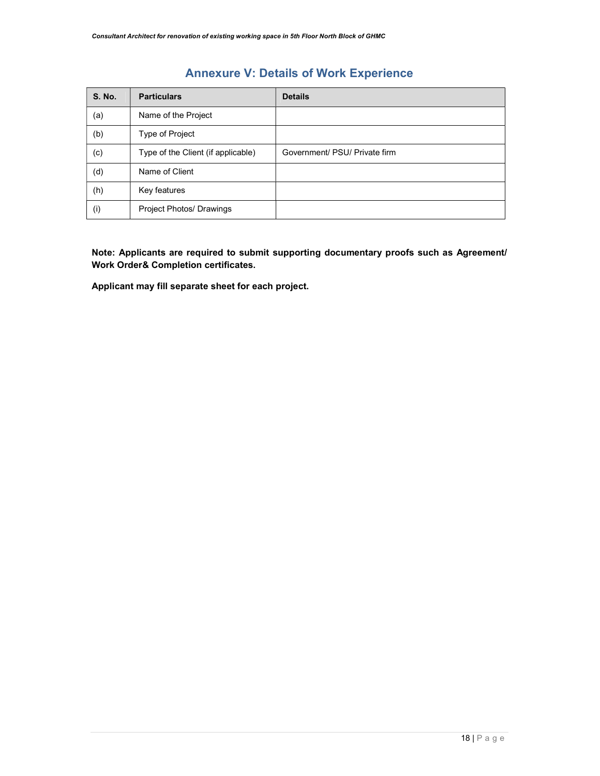## Annexure V: Details of Work Experience

| <b>S. No.</b> | <b>Particulars</b>                 | <b>Details</b>                |
|---------------|------------------------------------|-------------------------------|
| (a)           | Name of the Project                |                               |
| (b)           | Type of Project                    |                               |
| (c)           | Type of the Client (if applicable) | Government/ PSU/ Private firm |
| (d)           | Name of Client                     |                               |
| (h)           | Key features                       |                               |
| (i)           | Project Photos/ Drawings           |                               |

Note: Applicants are required to submit supporting documentary proofs such as Agreement/ Work Order& Completion certificates.

Applicant may fill separate sheet for each project.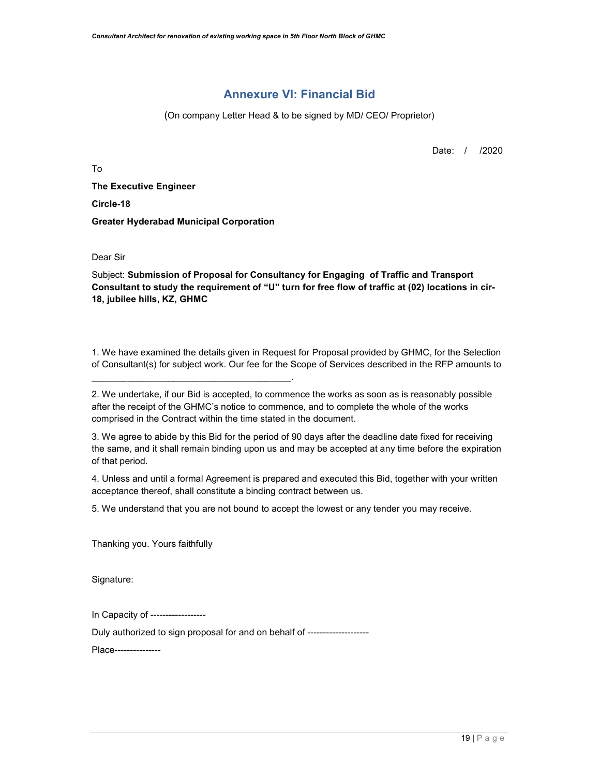## Annexure VI: Financial Bid

(On company Letter Head & to be signed by MD/ CEO/ Proprietor)

Date: / /2020

To

The Executive Engineer Circle-18 Greater Hyderabad Municipal Corporation

 $\mathcal{L}_\text{max}$  and  $\mathcal{L}_\text{max}$  and  $\mathcal{L}_\text{max}$  and  $\mathcal{L}_\text{max}$  and  $\mathcal{L}_\text{max}$ 

Dear Sir

Subject: Submission of Proposal for Consultancy for Engaging of Traffic and Transport Consultant to study the requirement of "U" turn for free flow of traffic at (02) locations in cir-18, jubilee hills, KZ, GHMC

1. We have examined the details given in Request for Proposal provided by GHMC, for the Selection of Consultant(s) for subject work. Our fee for the Scope of Services described in the RFP amounts to

| 2. We undertake, if our Bid is accepted, to commence the works as soon as is reasonably possible |
|--------------------------------------------------------------------------------------------------|
| after the receipt of the GHMC's notice to commence, and to complete the whole of the works       |
| comprised in the Contract within the time stated in the document.                                |

3. We agree to abide by this Bid for the period of 90 days after the deadline date fixed for receiving the same, and it shall remain binding upon us and may be accepted at any time before the expiration of that period.

4. Unless and until a formal Agreement is prepared and executed this Bid, together with your written acceptance thereof, shall constitute a binding contract between us.

5. We understand that you are not bound to accept the lowest or any tender you may receive.

Thanking you. Yours faithfully

Signature:

In Capacity of ------------------

Duly authorized to sign proposal for and on behalf of --------------------

Place---------------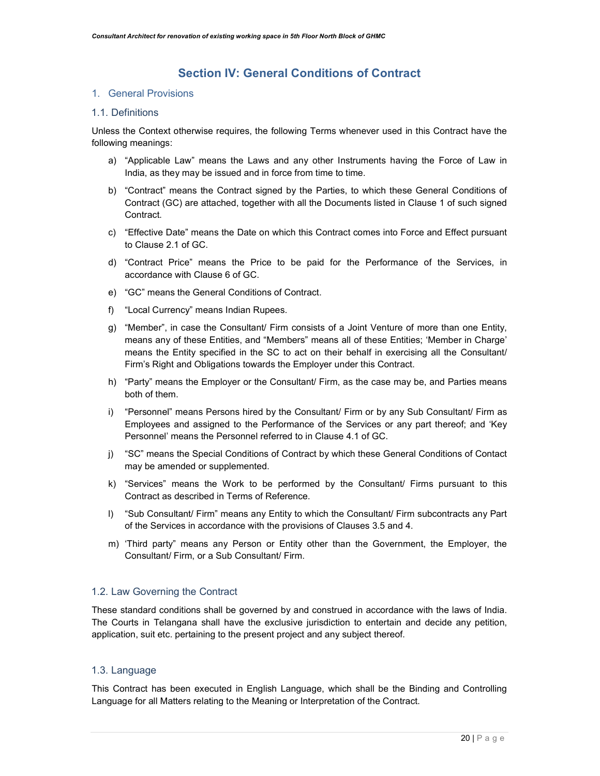## Section IV: General Conditions of Contract

#### 1. General Provisions

#### 1.1. Definitions

Unless the Context otherwise requires, the following Terms whenever used in this Contract have the following meanings:

- a) "Applicable Law" means the Laws and any other Instruments having the Force of Law in India, as they may be issued and in force from time to time.
- b) "Contract" means the Contract signed by the Parties, to which these General Conditions of Contract (GC) are attached, together with all the Documents listed in Clause 1 of such signed Contract.
- c) "Effective Date" means the Date on which this Contract comes into Force and Effect pursuant to Clause 2.1 of GC.
- d) "Contract Price" means the Price to be paid for the Performance of the Services, in accordance with Clause 6 of GC.
- e) "GC" means the General Conditions of Contract.
- f) "Local Currency" means Indian Rupees.
- g) "Member", in case the Consultant/ Firm consists of a Joint Venture of more than one Entity, means any of these Entities, and "Members" means all of these Entities; 'Member in Charge' means the Entity specified in the SC to act on their behalf in exercising all the Consultant/ Firm's Right and Obligations towards the Employer under this Contract.
- h) "Party" means the Employer or the Consultant/ Firm, as the case may be, and Parties means both of them.
- i) "Personnel" means Persons hired by the Consultant/ Firm or by any Sub Consultant/ Firm as Employees and assigned to the Performance of the Services or any part thereof; and 'Key Personnel' means the Personnel referred to in Clause 4.1 of GC.
- j) "SC" means the Special Conditions of Contract by which these General Conditions of Contact may be amended or supplemented.
- k) "Services" means the Work to be performed by the Consultant/ Firms pursuant to this Contract as described in Terms of Reference.
- l) "Sub Consultant/ Firm" means any Entity to which the Consultant/ Firm subcontracts any Part of the Services in accordance with the provisions of Clauses 3.5 and 4.
- m) 'Third party" means any Person or Entity other than the Government, the Employer, the Consultant/ Firm, or a Sub Consultant/ Firm.

#### 1.2. Law Governing the Contract

These standard conditions shall be governed by and construed in accordance with the laws of India. The Courts in Telangana shall have the exclusive jurisdiction to entertain and decide any petition, application, suit etc. pertaining to the present project and any subject thereof.

#### 1.3. Language

This Contract has been executed in English Language, which shall be the Binding and Controlling Language for all Matters relating to the Meaning or Interpretation of the Contract.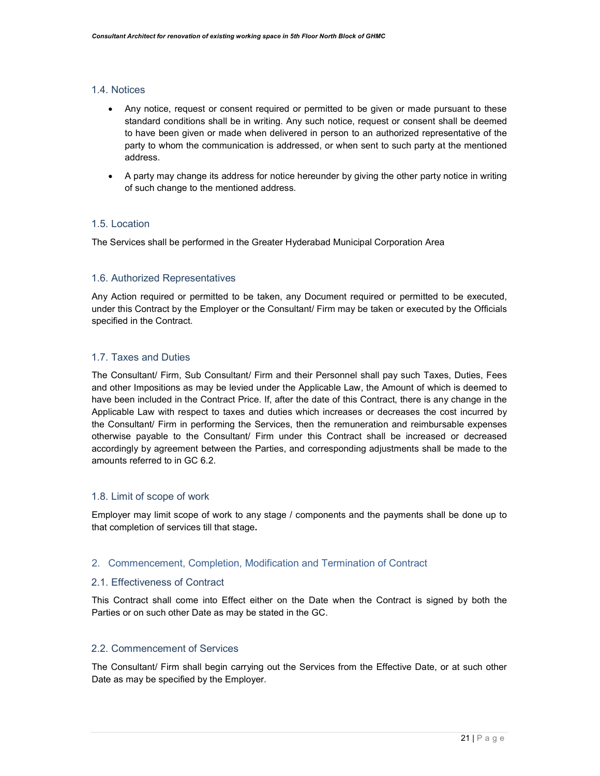#### 1.4. Notices

- Any notice, request or consent required or permitted to be given or made pursuant to these standard conditions shall be in writing. Any such notice, request or consent shall be deemed to have been given or made when delivered in person to an authorized representative of the party to whom the communication is addressed, or when sent to such party at the mentioned address.
- A party may change its address for notice hereunder by giving the other party notice in writing of such change to the mentioned address.

#### 1.5. Location

The Services shall be performed in the Greater Hyderabad Municipal Corporation Area

#### 1.6. Authorized Representatives

Any Action required or permitted to be taken, any Document required or permitted to be executed, under this Contract by the Employer or the Consultant/ Firm may be taken or executed by the Officials specified in the Contract.

#### 1.7. Taxes and Duties

The Consultant/ Firm, Sub Consultant/ Firm and their Personnel shall pay such Taxes, Duties, Fees and other Impositions as may be levied under the Applicable Law, the Amount of which is deemed to have been included in the Contract Price. If, after the date of this Contract, there is any change in the Applicable Law with respect to taxes and duties which increases or decreases the cost incurred by the Consultant/ Firm in performing the Services, then the remuneration and reimbursable expenses otherwise payable to the Consultant/ Firm under this Contract shall be increased or decreased accordingly by agreement between the Parties, and corresponding adjustments shall be made to the amounts referred to in GC 6.2.

#### 1.8. Limit of scope of work

Employer may limit scope of work to any stage / components and the payments shall be done up to that completion of services till that stage.

#### 2. Commencement, Completion, Modification and Termination of Contract

#### 2.1. Effectiveness of Contract

This Contract shall come into Effect either on the Date when the Contract is signed by both the Parties or on such other Date as may be stated in the GC.

#### 2.2. Commencement of Services

The Consultant/ Firm shall begin carrying out the Services from the Effective Date, or at such other Date as may be specified by the Employer.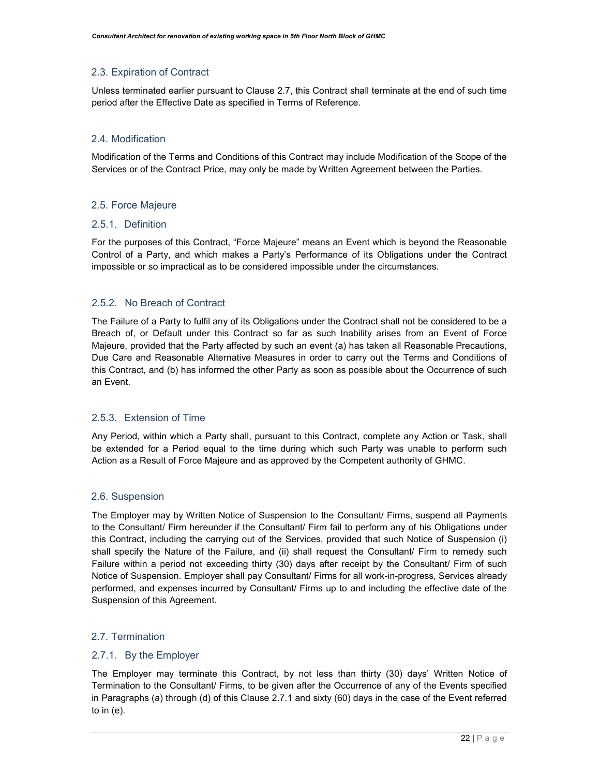#### 2.3. Expiration of Contract

Unless terminated earlier pursuant to Clause 2.7, this Contract shall terminate at the end of such time period after the Effective Date as specified in Terms of Reference.

#### 2.4. Modification

Modification of the Terms and Conditions of this Contract may include Modification of the Scope of the Services or of the Contract Price, may only be made by Written Agreement between the Parties.

#### 2.5. Force Majeure

#### 2.5.1. Definition

For the purposes of this Contract, "Force Majeure" means an Event which is beyond the Reasonable Control of a Party, and which makes a Party's Performance of its Obligations under the Contract impossible or so impractical as to be considered impossible under the circumstances.

#### 2.5.2. No Breach of Contract

The Failure of a Party to fulfil any of its Obligations under the Contract shall not be considered to be a Breach of, or Default under this Contract so far as such Inability arises from an Event of Force Majeure, provided that the Party affected by such an event (a) has taken all Reasonable Precautions, Due Care and Reasonable Alternative Measures in order to carry out the Terms and Conditions of this Contract, and (b) has informed the other Party as soon as possible about the Occurrence of such an Event.

#### 2.5.3. Extension of Time

Any Period, within which a Party shall, pursuant to this Contract, complete any Action or Task, shall be extended for a Period equal to the time during which such Party was unable to perform such Action as a Result of Force Majeure and as approved by the Competent authority of GHMC.

#### 2.6. Suspension

The Employer may by Written Notice of Suspension to the Consultant/ Firms, suspend all Payments to the Consultant/ Firm hereunder if the Consultant/ Firm fail to perform any of his Obligations under this Contract, including the carrying out of the Services, provided that such Notice of Suspension (i) shall specify the Nature of the Failure, and (ii) shall request the Consultant/ Firm to remedy such Failure within a period not exceeding thirty (30) days after receipt by the Consultant/ Firm of such Notice of Suspension. Employer shall pay Consultant/ Firms for all work-in-progress, Services already performed, and expenses incurred by Consultant/ Firms up to and including the effective date of the Suspension of this Agreement.

#### 2.7. Termination

#### 2.7.1. By the Employer

The Employer may terminate this Contract, by not less than thirty (30) days' Written Notice of Termination to the Consultant/ Firms, to be given after the Occurrence of any of the Events specified in Paragraphs (a) through (d) of this Clause 2.7.1 and sixty (60) days in the case of the Event referred to in (e).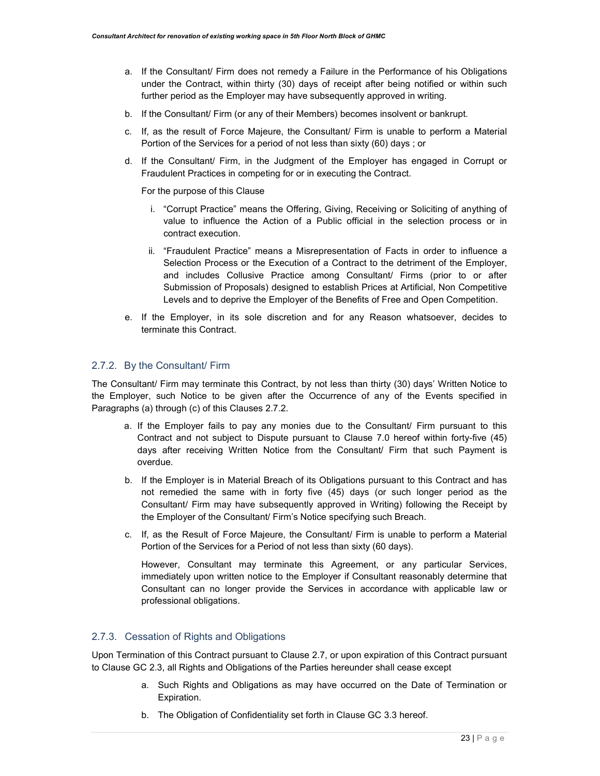- a. If the Consultant/ Firm does not remedy a Failure in the Performance of his Obligations under the Contract, within thirty (30) days of receipt after being notified or within such further period as the Employer may have subsequently approved in writing.
- b. If the Consultant/ Firm (or any of their Members) becomes insolvent or bankrupt.
- c. If, as the result of Force Majeure, the Consultant/ Firm is unable to perform a Material Portion of the Services for a period of not less than sixty (60) days ; or
- d. If the Consultant/ Firm, in the Judgment of the Employer has engaged in Corrupt or Fraudulent Practices in competing for or in executing the Contract.

For the purpose of this Clause

- i. "Corrupt Practice" means the Offering, Giving, Receiving or Soliciting of anything of value to influence the Action of a Public official in the selection process or in contract execution.
- ii. "Fraudulent Practice" means a Misrepresentation of Facts in order to influence a Selection Process or the Execution of a Contract to the detriment of the Employer, and includes Collusive Practice among Consultant/ Firms (prior to or after Submission of Proposals) designed to establish Prices at Artificial, Non Competitive Levels and to deprive the Employer of the Benefits of Free and Open Competition.
- e. If the Employer, in its sole discretion and for any Reason whatsoever, decides to terminate this Contract.

#### 2.7.2. By the Consultant/ Firm

The Consultant/ Firm may terminate this Contract, by not less than thirty (30) days' Written Notice to the Employer, such Notice to be given after the Occurrence of any of the Events specified in Paragraphs (a) through (c) of this Clauses 2.7.2.

- a. If the Employer fails to pay any monies due to the Consultant/ Firm pursuant to this Contract and not subject to Dispute pursuant to Clause 7.0 hereof within forty-five (45) days after receiving Written Notice from the Consultant/ Firm that such Payment is overdue.
- b. If the Employer is in Material Breach of its Obligations pursuant to this Contract and has not remedied the same with in forty five (45) days (or such longer period as the Consultant/ Firm may have subsequently approved in Writing) following the Receipt by the Employer of the Consultant/ Firm's Notice specifying such Breach.
- c. If, as the Result of Force Majeure, the Consultant/ Firm is unable to perform a Material Portion of the Services for a Period of not less than sixty (60 days).

However, Consultant may terminate this Agreement, or any particular Services, immediately upon written notice to the Employer if Consultant reasonably determine that Consultant can no longer provide the Services in accordance with applicable law or professional obligations.

#### 2.7.3. Cessation of Rights and Obligations

Upon Termination of this Contract pursuant to Clause 2.7, or upon expiration of this Contract pursuant to Clause GC 2.3, all Rights and Obligations of the Parties hereunder shall cease except

- a. Such Rights and Obligations as may have occurred on the Date of Termination or Expiration.
- b. The Obligation of Confidentiality set forth in Clause GC 3.3 hereof.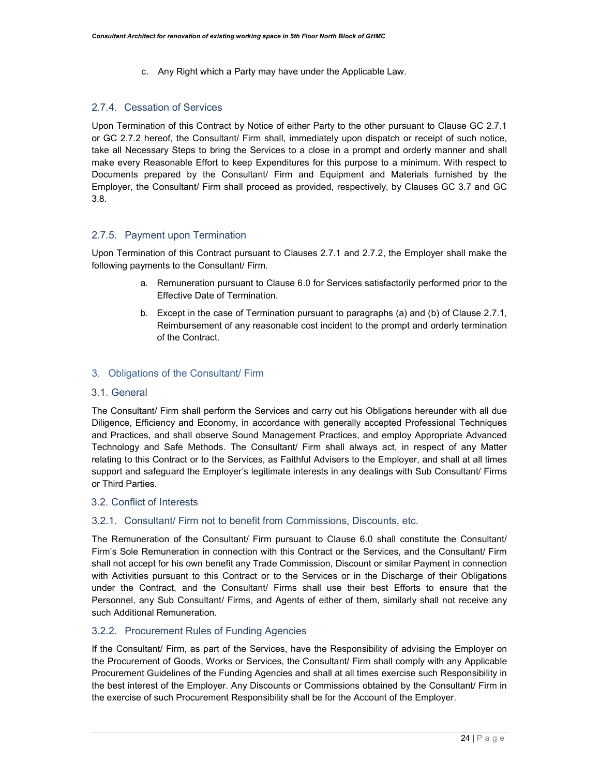c. Any Right which a Party may have under the Applicable Law.

#### 2.7.4. Cessation of Services

Upon Termination of this Contract by Notice of either Party to the other pursuant to Clause GC 2.7.1 or GC 2.7.2 hereof, the Consultant/ Firm shall, immediately upon dispatch or receipt of such notice, take all Necessary Steps to bring the Services to a close in a prompt and orderly manner and shall make every Reasonable Effort to keep Expenditures for this purpose to a minimum. With respect to Documents prepared by the Consultant/ Firm and Equipment and Materials furnished by the Employer, the Consultant/ Firm shall proceed as provided, respectively, by Clauses GC 3.7 and GC 3.8.

#### 2.7.5. Payment upon Termination

Upon Termination of this Contract pursuant to Clauses 2.7.1 and 2.7.2, the Employer shall make the following payments to the Consultant/ Firm.

- a. Remuneration pursuant to Clause 6.0 for Services satisfactorily performed prior to the Effective Date of Termination.
- b. Except in the case of Termination pursuant to paragraphs (a) and (b) of Clause 2.7.1, Reimbursement of any reasonable cost incident to the prompt and orderly termination of the Contract.

#### 3. Obligations of the Consultant/ Firm

#### 3.1. General

The Consultant/ Firm shall perform the Services and carry out his Obligations hereunder with all due Diligence, Efficiency and Economy, in accordance with generally accepted Professional Techniques and Practices, and shall observe Sound Management Practices, and employ Appropriate Advanced Technology and Safe Methods. The Consultant/ Firm shall always act, in respect of any Matter relating to this Contract or to the Services, as Faithful Advisers to the Employer, and shall at all times support and safeguard the Employer's legitimate interests in any dealings with Sub Consultant/ Firms or Third Parties.

#### 3.2. Conflict of Interests

#### 3.2.1. Consultant/ Firm not to benefit from Commissions, Discounts, etc.

The Remuneration of the Consultant/ Firm pursuant to Clause 6.0 shall constitute the Consultant/ Firm's Sole Remuneration in connection with this Contract or the Services, and the Consultant/ Firm shall not accept for his own benefit any Trade Commission, Discount or similar Payment in connection with Activities pursuant to this Contract or to the Services or in the Discharge of their Obligations under the Contract, and the Consultant/ Firms shall use their best Efforts to ensure that the Personnel, any Sub Consultant/ Firms, and Agents of either of them, similarly shall not receive any such Additional Remuneration.

#### 3.2.2. Procurement Rules of Funding Agencies

If the Consultant/ Firm, as part of the Services, have the Responsibility of advising the Employer on the Procurement of Goods, Works or Services, the Consultant/ Firm shall comply with any Applicable Procurement Guidelines of the Funding Agencies and shall at all times exercise such Responsibility in the best interest of the Employer. Any Discounts or Commissions obtained by the Consultant/ Firm in the exercise of such Procurement Responsibility shall be for the Account of the Employer.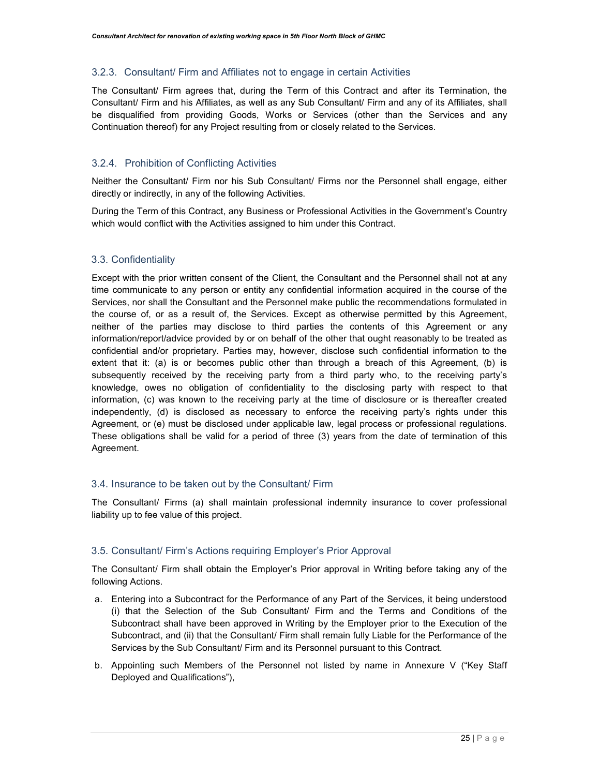#### 3.2.3. Consultant/ Firm and Affiliates not to engage in certain Activities

The Consultant/ Firm agrees that, during the Term of this Contract and after its Termination, the Consultant/ Firm and his Affiliates, as well as any Sub Consultant/ Firm and any of its Affiliates, shall be disqualified from providing Goods, Works or Services (other than the Services and any Continuation thereof) for any Project resulting from or closely related to the Services.

#### 3.2.4. Prohibition of Conflicting Activities

Neither the Consultant/ Firm nor his Sub Consultant/ Firms nor the Personnel shall engage, either directly or indirectly, in any of the following Activities.

During the Term of this Contract, any Business or Professional Activities in the Government's Country which would conflict with the Activities assigned to him under this Contract.

#### 3.3. Confidentiality

Except with the prior written consent of the Client, the Consultant and the Personnel shall not at any time communicate to any person or entity any confidential information acquired in the course of the Services, nor shall the Consultant and the Personnel make public the recommendations formulated in the course of, or as a result of, the Services. Except as otherwise permitted by this Agreement, neither of the parties may disclose to third parties the contents of this Agreement or any information/report/advice provided by or on behalf of the other that ought reasonably to be treated as confidential and/or proprietary. Parties may, however, disclose such confidential information to the extent that it: (a) is or becomes public other than through a breach of this Agreement, (b) is subsequently received by the receiving party from a third party who, to the receiving party's knowledge, owes no obligation of confidentiality to the disclosing party with respect to that information, (c) was known to the receiving party at the time of disclosure or is thereafter created independently, (d) is disclosed as necessary to enforce the receiving party's rights under this Agreement, or (e) must be disclosed under applicable law, legal process or professional regulations. These obligations shall be valid for a period of three (3) years from the date of termination of this Agreement.

#### 3.4. Insurance to be taken out by the Consultant/ Firm

The Consultant/ Firms (a) shall maintain professional indemnity insurance to cover professional liability up to fee value of this project.

#### 3.5. Consultant/ Firm's Actions requiring Employer's Prior Approval

The Consultant/ Firm shall obtain the Employer's Prior approval in Writing before taking any of the following Actions.

- a. Entering into a Subcontract for the Performance of any Part of the Services, it being understood (i) that the Selection of the Sub Consultant/ Firm and the Terms and Conditions of the Subcontract shall have been approved in Writing by the Employer prior to the Execution of the Subcontract, and (ii) that the Consultant/ Firm shall remain fully Liable for the Performance of the Services by the Sub Consultant/ Firm and its Personnel pursuant to this Contract.
- b. Appointing such Members of the Personnel not listed by name in Annexure V ("Key Staff Deployed and Qualifications"),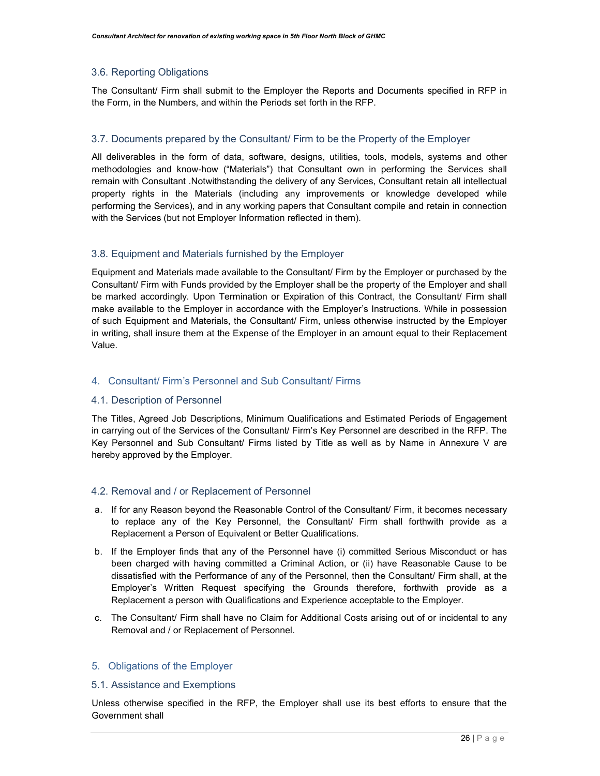#### 3.6. Reporting Obligations

The Consultant/ Firm shall submit to the Employer the Reports and Documents specified in RFP in the Form, in the Numbers, and within the Periods set forth in the RFP.

#### 3.7. Documents prepared by the Consultant/ Firm to be the Property of the Employer

All deliverables in the form of data, software, designs, utilities, tools, models, systems and other methodologies and know-how ("Materials") that Consultant own in performing the Services shall remain with Consultant .Notwithstanding the delivery of any Services, Consultant retain all intellectual property rights in the Materials (including any improvements or knowledge developed while performing the Services), and in any working papers that Consultant compile and retain in connection with the Services (but not Employer Information reflected in them).

#### 3.8. Equipment and Materials furnished by the Employer

Equipment and Materials made available to the Consultant/ Firm by the Employer or purchased by the Consultant/ Firm with Funds provided by the Employer shall be the property of the Employer and shall be marked accordingly. Upon Termination or Expiration of this Contract, the Consultant/ Firm shall make available to the Employer in accordance with the Employer's Instructions. While in possession of such Equipment and Materials, the Consultant/ Firm, unless otherwise instructed by the Employer in writing, shall insure them at the Expense of the Employer in an amount equal to their Replacement Value.

#### 4. Consultant/ Firm's Personnel and Sub Consultant/ Firms

#### 4.1. Description of Personnel

The Titles, Agreed Job Descriptions, Minimum Qualifications and Estimated Periods of Engagement in carrying out of the Services of the Consultant/ Firm's Key Personnel are described in the RFP. The Key Personnel and Sub Consultant/ Firms listed by Title as well as by Name in Annexure V are hereby approved by the Employer.

#### 4.2. Removal and / or Replacement of Personnel

- a. If for any Reason beyond the Reasonable Control of the Consultant/ Firm, it becomes necessary to replace any of the Key Personnel, the Consultant/ Firm shall forthwith provide as a Replacement a Person of Equivalent or Better Qualifications.
- b. If the Employer finds that any of the Personnel have (i) committed Serious Misconduct or has been charged with having committed a Criminal Action, or (ii) have Reasonable Cause to be dissatisfied with the Performance of any of the Personnel, then the Consultant/ Firm shall, at the Employer's Written Request specifying the Grounds therefore, forthwith provide as a Replacement a person with Qualifications and Experience acceptable to the Employer.
- c. The Consultant/ Firm shall have no Claim for Additional Costs arising out of or incidental to any Removal and / or Replacement of Personnel.

#### 5. Obligations of the Employer

#### 5.1. Assistance and Exemptions

Unless otherwise specified in the RFP, the Employer shall use its best efforts to ensure that the Government shall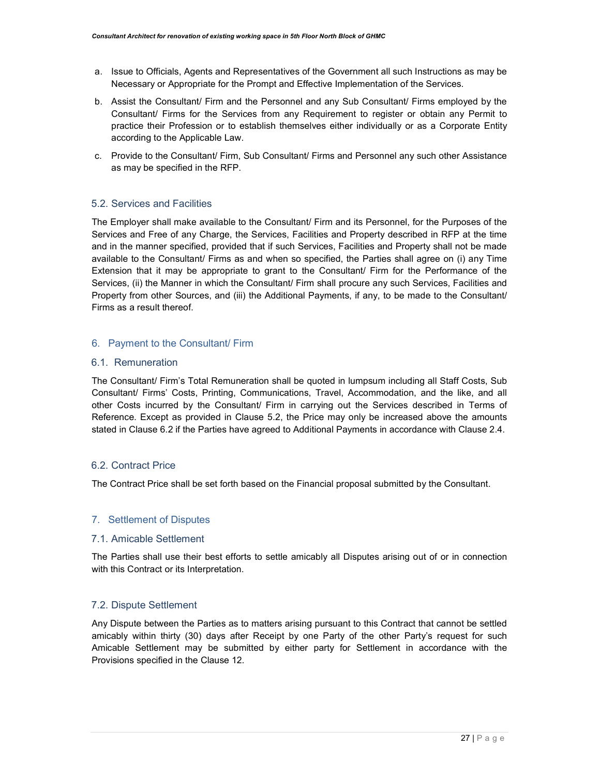- a. Issue to Officials, Agents and Representatives of the Government all such Instructions as may be Necessary or Appropriate for the Prompt and Effective Implementation of the Services.
- b. Assist the Consultant/ Firm and the Personnel and any Sub Consultant/ Firms employed by the Consultant/ Firms for the Services from any Requirement to register or obtain any Permit to practice their Profession or to establish themselves either individually or as a Corporate Entity according to the Applicable Law.
- c. Provide to the Consultant/ Firm, Sub Consultant/ Firms and Personnel any such other Assistance as may be specified in the RFP.

#### 5.2. Services and Facilities

The Employer shall make available to the Consultant/ Firm and its Personnel, for the Purposes of the Services and Free of any Charge, the Services, Facilities and Property described in RFP at the time and in the manner specified, provided that if such Services, Facilities and Property shall not be made available to the Consultant/ Firms as and when so specified, the Parties shall agree on (i) any Time Extension that it may be appropriate to grant to the Consultant/ Firm for the Performance of the Services, (ii) the Manner in which the Consultant/ Firm shall procure any such Services, Facilities and Property from other Sources, and (iii) the Additional Payments, if any, to be made to the Consultant/ Firms as a result thereof.

#### 6. Payment to the Consultant/ Firm

#### 6.1. Remuneration

The Consultant/ Firm's Total Remuneration shall be quoted in lumpsum including all Staff Costs, Sub Consultant/ Firms' Costs, Printing, Communications, Travel, Accommodation, and the like, and all other Costs incurred by the Consultant/ Firm in carrying out the Services described in Terms of Reference. Except as provided in Clause 5.2, the Price may only be increased above the amounts stated in Clause 6.2 if the Parties have agreed to Additional Payments in accordance with Clause 2.4.

#### 6.2. Contract Price

The Contract Price shall be set forth based on the Financial proposal submitted by the Consultant.

#### 7. Settlement of Disputes

#### 7.1. Amicable Settlement

The Parties shall use their best efforts to settle amicably all Disputes arising out of or in connection with this Contract or its Interpretation.

#### 7.2. Dispute Settlement

Any Dispute between the Parties as to matters arising pursuant to this Contract that cannot be settled amicably within thirty (30) days after Receipt by one Party of the other Party's request for such Amicable Settlement may be submitted by either party for Settlement in accordance with the Provisions specified in the Clause 12.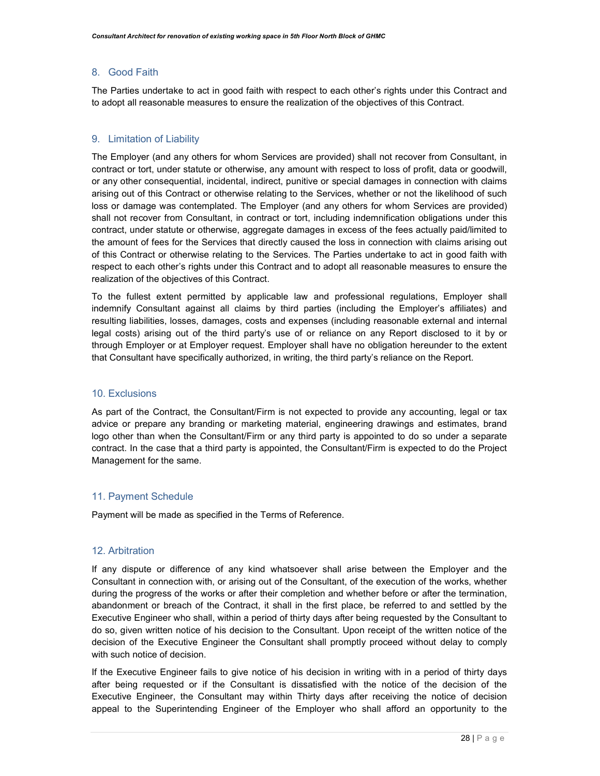#### 8. Good Faith

The Parties undertake to act in good faith with respect to each other's rights under this Contract and to adopt all reasonable measures to ensure the realization of the objectives of this Contract.

#### 9. Limitation of Liability

The Employer (and any others for whom Services are provided) shall not recover from Consultant, in contract or tort, under statute or otherwise, any amount with respect to loss of profit, data or goodwill, or any other consequential, incidental, indirect, punitive or special damages in connection with claims arising out of this Contract or otherwise relating to the Services, whether or not the likelihood of such loss or damage was contemplated. The Employer (and any others for whom Services are provided) shall not recover from Consultant, in contract or tort, including indemnification obligations under this contract, under statute or otherwise, aggregate damages in excess of the fees actually paid/limited to the amount of fees for the Services that directly caused the loss in connection with claims arising out of this Contract or otherwise relating to the Services. The Parties undertake to act in good faith with respect to each other's rights under this Contract and to adopt all reasonable measures to ensure the realization of the objectives of this Contract.

To the fullest extent permitted by applicable law and professional regulations, Employer shall indemnify Consultant against all claims by third parties (including the Employer's affiliates) and resulting liabilities, losses, damages, costs and expenses (including reasonable external and internal legal costs) arising out of the third party's use of or reliance on any Report disclosed to it by or through Employer or at Employer request. Employer shall have no obligation hereunder to the extent that Consultant have specifically authorized, in writing, the third party's reliance on the Report.

#### 10. Exclusions

As part of the Contract, the Consultant/Firm is not expected to provide any accounting, legal or tax advice or prepare any branding or marketing material, engineering drawings and estimates, brand logo other than when the Consultant/Firm or any third party is appointed to do so under a separate contract. In the case that a third party is appointed, the Consultant/Firm is expected to do the Project Management for the same.

#### 11. Payment Schedule

Payment will be made as specified in the Terms of Reference.

#### 12. Arbitration

If any dispute or difference of any kind whatsoever shall arise between the Employer and the Consultant in connection with, or arising out of the Consultant, of the execution of the works, whether during the progress of the works or after their completion and whether before or after the termination, abandonment or breach of the Contract, it shall in the first place, be referred to and settled by the Executive Engineer who shall, within a period of thirty days after being requested by the Consultant to do so, given written notice of his decision to the Consultant. Upon receipt of the written notice of the decision of the Executive Engineer the Consultant shall promptly proceed without delay to comply with such notice of decision.

If the Executive Engineer fails to give notice of his decision in writing with in a period of thirty days after being requested or if the Consultant is dissatisfied with the notice of the decision of the Executive Engineer, the Consultant may within Thirty days after receiving the notice of decision appeal to the Superintending Engineer of the Employer who shall afford an opportunity to the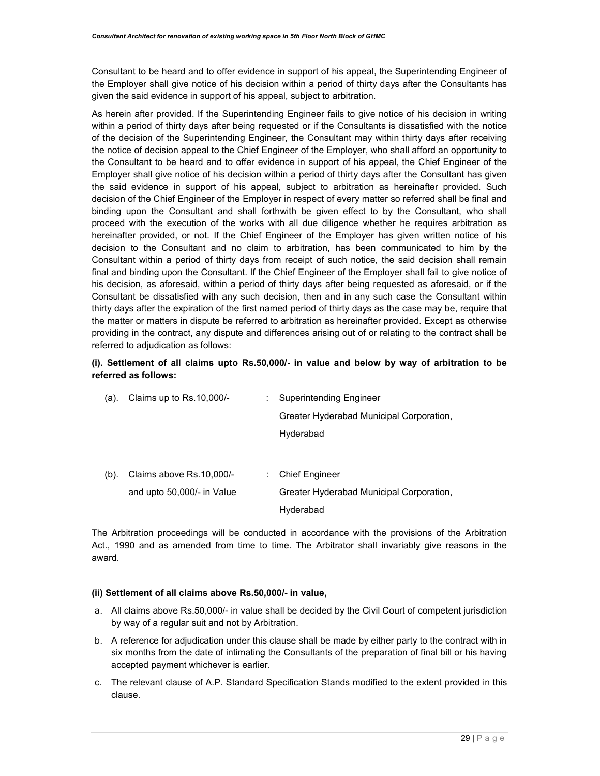Consultant to be heard and to offer evidence in support of his appeal, the Superintending Engineer of the Employer shall give notice of his decision within a period of thirty days after the Consultants has given the said evidence in support of his appeal, subject to arbitration.

As herein after provided. If the Superintending Engineer fails to give notice of his decision in writing within a period of thirty days after being requested or if the Consultants is dissatisfied with the notice of the decision of the Superintending Engineer, the Consultant may within thirty days after receiving the notice of decision appeal to the Chief Engineer of the Employer, who shall afford an opportunity to the Consultant to be heard and to offer evidence in support of his appeal, the Chief Engineer of the Employer shall give notice of his decision within a period of thirty days after the Consultant has given the said evidence in support of his appeal, subject to arbitration as hereinafter provided. Such decision of the Chief Engineer of the Employer in respect of every matter so referred shall be final and binding upon the Consultant and shall forthwith be given effect to by the Consultant, who shall proceed with the execution of the works with all due diligence whether he requires arbitration as hereinafter provided, or not. If the Chief Engineer of the Employer has given written notice of his decision to the Consultant and no claim to arbitration, has been communicated to him by the Consultant within a period of thirty days from receipt of such notice, the said decision shall remain final and binding upon the Consultant. If the Chief Engineer of the Employer shall fail to give notice of his decision, as aforesaid, within a period of thirty days after being requested as aforesaid, or if the Consultant be dissatisfied with any such decision, then and in any such case the Consultant within thirty days after the expiration of the first named period of thirty days as the case may be, require that the matter or matters in dispute be referred to arbitration as hereinafter provided. Except as otherwise providing in the contract, any dispute and differences arising out of or relating to the contract shall be referred to adjudication as follows:

#### (i). Settlement of all claims upto Rs.50,000/- in value and below by way of arbitration to be referred as follows:

| (a).    | Claims up to Rs.10,000/-   | Superintending Engineer                  |
|---------|----------------------------|------------------------------------------|
|         |                            | Greater Hyderabad Municipal Corporation, |
|         |                            | Hyderabad                                |
|         |                            |                                          |
| $(b)$ . | Claims above Rs.10,000/-   | <b>Chief Engineer</b>                    |
|         | and upto 50,000/- in Value | Greater Hyderabad Municipal Corporation, |
|         |                            | Hyderabad                                |

The Arbitration proceedings will be conducted in accordance with the provisions of the Arbitration Act., 1990 and as amended from time to time. The Arbitrator shall invariably give reasons in the award.

#### (ii) Settlement of all claims above Rs.50,000/- in value,

- a. All claims above Rs.50,000/- in value shall be decided by the Civil Court of competent jurisdiction by way of a regular suit and not by Arbitration.
- b. A reference for adjudication under this clause shall be made by either party to the contract with in six months from the date of intimating the Consultants of the preparation of final bill or his having accepted payment whichever is earlier.
- c. The relevant clause of A.P. Standard Specification Stands modified to the extent provided in this clause.